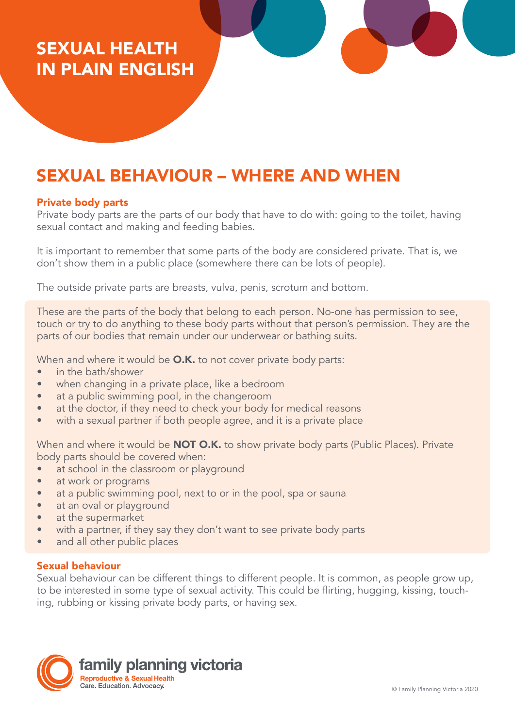# SEXUAL HEALTH IN PLAIN ENGLISH

# SEXUAL BEHAVIOUR – WHERE AND WHEN

### Private body parts

Private body parts are the parts of our body that have to do with: going to the toilet, having sexual contact and making and feeding babies.

It is important to remember that some parts of the body are considered private. That is, we don't show them in a public place (somewhere there can be lots of people).

The outside private parts are breasts, vulva, penis, scrotum and bottom.

These are the parts of the body that belong to each person. No-one has permission to see, touch or try to do anything to these body parts without that person's permission. They are the parts of our bodies that remain under our underwear or bathing suits.

When and where it would be **O.K.** to not cover private body parts:

- in the bath/shower
- when changing in a private place, like a bedroom
- at a public swimming pool, in the changeroom
- at the doctor, if they need to check your body for medical reasons
- with a sexual partner if both people agree, and it is a private place

When and where it would be **NOT O.K.** to show private body parts (Public Places). Private body parts should be covered when:

- at school in the classroom or playground
- at work or programs
- at a public swimming pool, next to or in the pool, spa or sauna
- at an oval or playground
- at the supermarket
- with a partner, if they say they don't want to see private body parts
- and all other public places

### Sexual behaviour

Sexual behaviour can be different things to different people. It is common, as people grow up, to be interested in some type of sexual activity. This could be flirting, hugging, kissing, touching, rubbing or kissing private body parts, or having sex.

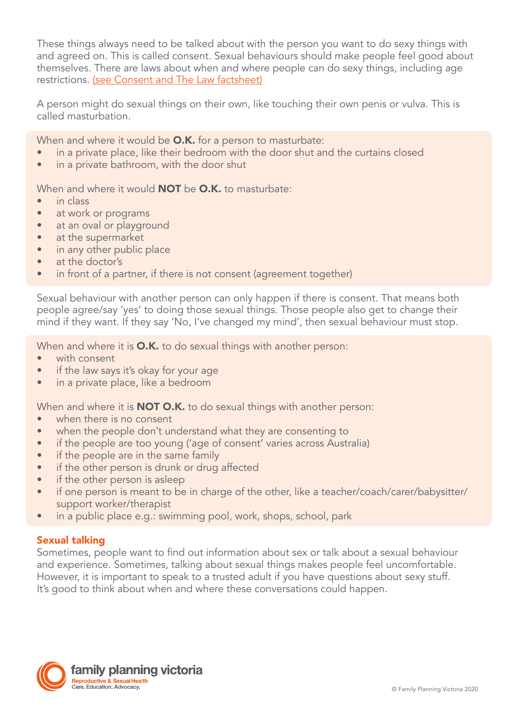These things always need to be talked about with the person you want to do sexy things with and agreed on. This is called consent. Sexual behaviours should make people feel good about themselves. There are laws about when and where people can do sexy things, including age restrictions. (see [Consent and The Law factsheet](https://www.fpv.org.au/assets/resources/Final-Sex-and-the-Law-090718_VT_v1.pdf))

A person might do sexual things on their own, like touching their own penis or vulva. This is called masturbation.

When and where it would be **O.K.** for a person to masturbate:

- in a private place, like their bedroom with the door shut and the curtains closed
- in a private bathroom, with the door shut

When and where it would **NOT** be **O.K.** to masturbate:

- in class
- at work or programs
- at an oval or playground
- at the supermarket
- in any other public place
- at the doctor's
- in front of a partner, if there is not consent (agreement together)

Sexual behaviour with another person can only happen if there is consent. That means both people agree/say 'yes' to doing those sexual things. Those people also get to change their mind if they want. If they say 'No, I've changed my mind', then sexual behaviour must stop.

When and where it is **O.K.** to do sexual things with another person:

- with consent
- if the law says it's okay for your age
- in a private place, like a bedroom

When and where it is **NOT O.K.** to do sexual things with another person:

- when there is no consent
- when the people don't understand what they are consenting to
- if the people are too young ('age of consent' varies across Australia)
- if the people are in the same family
- if the other person is drunk or drug affected
- if the other person is asleep
- if one person is meant to be in charge of the other, like a teacher/coach/carer/babysitter/ support worker/therapist
- in a public place e.g.: swimming pool, work, shops, school, park

### Sexual talking

Sometimes, people want to find out information about sex or talk about a sexual behaviour and experience. Sometimes, talking about sexual things makes people feel uncomfortable. However, it is important to speak to a trusted adult if you have questions about sexy stuff. It's good to think about when and where these conversations could happen.